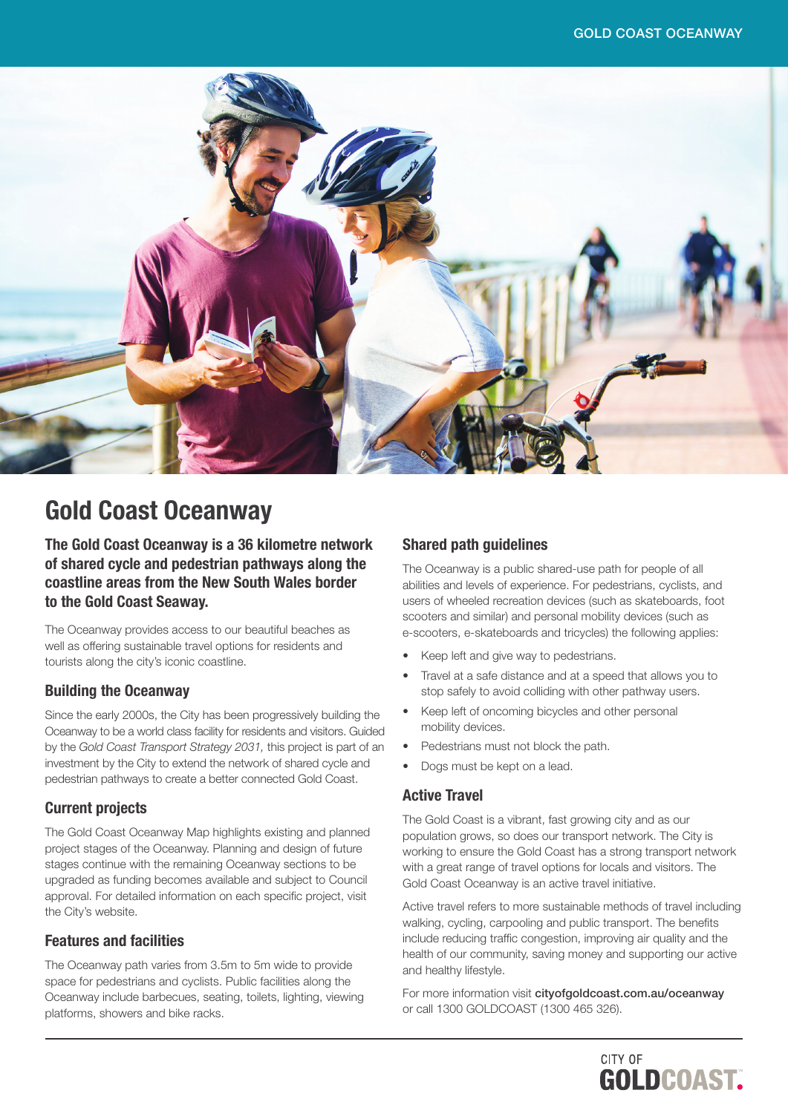

## Gold Coast Oceanway

The Gold Coast Oceanway is a 36 kilometre network of shared cycle and pedestrian pathways along the coastline areas from the New South Wales border to the Gold Coast Seaway.

The Oceanway provides access to our beautiful beaches as well as offering sustainable travel options for residents and tourists along the city's iconic coastline.

#### Building the Oceanway

Since the early 2000s, the City has been progressively building the Oceanway to be a world class facility for residents and visitors. Guided by the *Gold Coast Transport Strategy 2031,* this project is part of an investment by the City to extend the network of shared cycle and pedestrian pathways to create a better connected Gold Coast.

#### Current projects

The Gold Coast Oceanway Map highlights existing and planned project stages of the Oceanway. Planning and design of future stages continue with the remaining Oceanway sections to be upgraded as funding becomes available and subject to Council approval. For detailed information on each specific project, visit the City's website.

#### Features and facilities

The Oceanway path varies from 3.5m to 5m wide to provide space for pedestrians and cyclists. Public facilities along the Oceanway include barbecues, seating, toilets, lighting, viewing platforms, showers and bike racks.

### Shared path guidelines

The Oceanway is a public shared-use path for people of all abilities and levels of experience. For pedestrians, cyclists, and users of wheeled recreation devices (such as skateboards, foot scooters and similar) and personal mobility devices (such as e-scooters, e-skateboards and tricycles) the following applies:

- Keep left and give way to pedestrians.
- Travel at a safe distance and at a speed that allows you to stop safely to avoid colliding with other pathway users.
- Keep left of oncoming bicycles and other personal mobility devices.
- Pedestrians must not block the path.
- Dogs must be kept on a lead.

#### Active Travel

The Gold Coast is a vibrant, fast growing city and as our population grows, so does our transport network. The City is working to ensure the Gold Coast has a strong transport network with a great range of travel options for locals and visitors. The Gold Coast Oceanway is an active travel initiative.

Active travel refers to more sustainable methods of travel including walking, cycling, carpooling and public transport. The benefits include reducing traffic congestion, improving air quality and the health of our community, saving money and supporting our active and healthy lifestyle.

For more information visit [cityofgoldcoast.com.au/oceanway](http://cityofgoldcoast.com.au/oceanway) or call 1300 GOLDCOAST (1300 465 326).